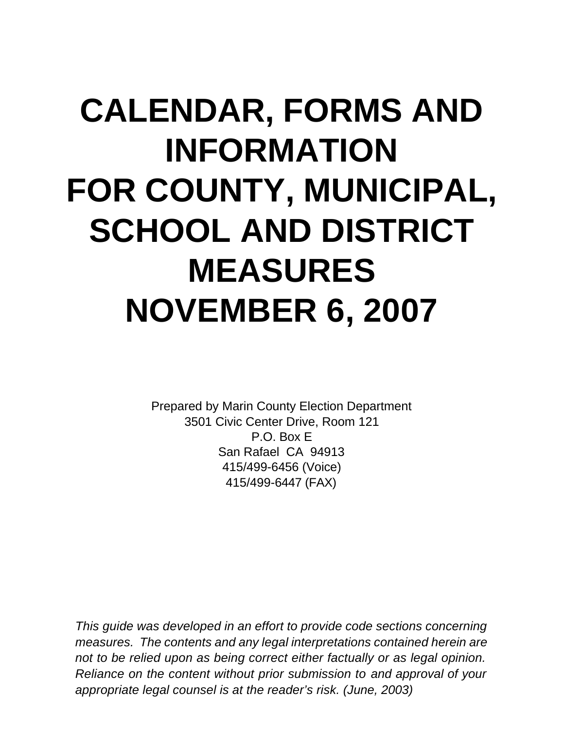# **CALENDAR, FORMS AND INFORMATION FOR COUNTY, MUNICIPAL, SCHOOL AND DISTRICT MEASURES NOVEMBER 6, 2007**

Prepared by Marin County Election Department 3501 Civic Center Drive, Room 121 P.O. Box E San Rafael CA 94913 415/499-6456 (Voice) 415/499-6447 (FAX)

*This guide was developed in an effort to provide code sections concerning measures. The contents and any legal interpretations contained herein are not to be relied upon as being correct either factually or as legal opinion. Reliance on the content without prior submission to and approval of your appropriate legal counsel is at the reader's risk. (June, 2003)*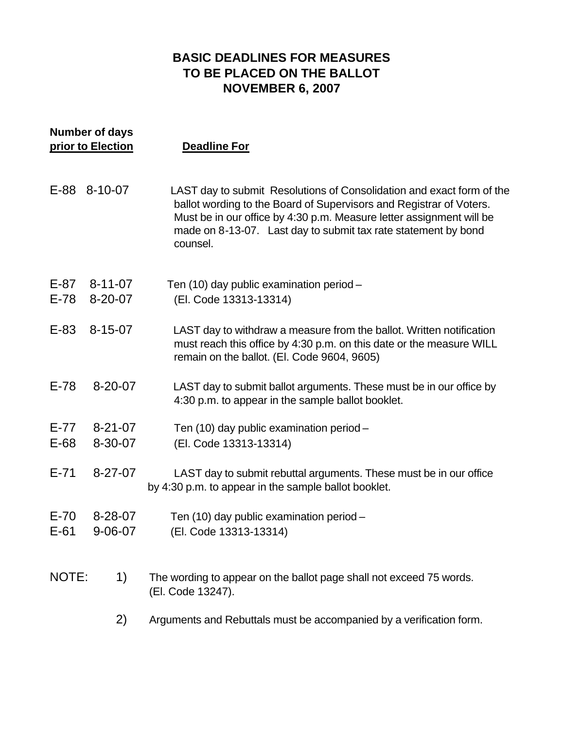#### **BASIC DEADLINES FOR MEASURES TO BE PLACED ON THE BALLOT NOVEMBER 6, 2007**

| <b>Number of days</b><br>prior to Election |                          | <b>Deadline For</b>                                                                                                                                                                                                                                                                                |  |  |
|--------------------------------------------|--------------------------|----------------------------------------------------------------------------------------------------------------------------------------------------------------------------------------------------------------------------------------------------------------------------------------------------|--|--|
|                                            | E-88 8-10-07             | LAST day to submit Resolutions of Consolidation and exact form of the<br>ballot wording to the Board of Supervisors and Registrar of Voters.<br>Must be in our office by 4:30 p.m. Measure letter assignment will be<br>made on 8-13-07. Last day to submit tax rate statement by bond<br>counsel. |  |  |
| $E-87$<br>$E-78$                           | 8-11-07<br>$8 - 20 - 07$ | Ten (10) day public examination period -<br>(El. Code 13313-13314)                                                                                                                                                                                                                                 |  |  |
| $E-83$                                     | 8-15-07                  | LAST day to withdraw a measure from the ballot. Written notification<br>must reach this office by 4:30 p.m. on this date or the measure WILL<br>remain on the ballot. (El. Code 9604, 9605)                                                                                                        |  |  |
| $E-78$                                     | $8 - 20 - 07$            | LAST day to submit ballot arguments. These must be in our office by<br>4:30 p.m. to appear in the sample ballot booklet.                                                                                                                                                                           |  |  |
| $E-77$<br>$E-68$                           | $8 - 21 - 07$<br>8-30-07 | Ten (10) day public examination period -<br>(El. Code 13313-13314)                                                                                                                                                                                                                                 |  |  |
| $E - 71$                                   | $8 - 27 - 07$            | LAST day to submit rebuttal arguments. These must be in our office<br>by 4:30 p.m. to appear in the sample ballot booklet.                                                                                                                                                                         |  |  |
| $E-70$<br>$E-61$                           | 8-28-07<br>$9 - 06 - 07$ | Ten (10) day public examination period -<br>(El. Code 13313-13314)                                                                                                                                                                                                                                 |  |  |
| NOTE:                                      | 1)                       | The wording to appear on the ballot page shall not exceed 75 words.<br>(El. Code 13247).                                                                                                                                                                                                           |  |  |
|                                            | 2)                       | Arguments and Rebuttals must be accompanied by a verification form.                                                                                                                                                                                                                                |  |  |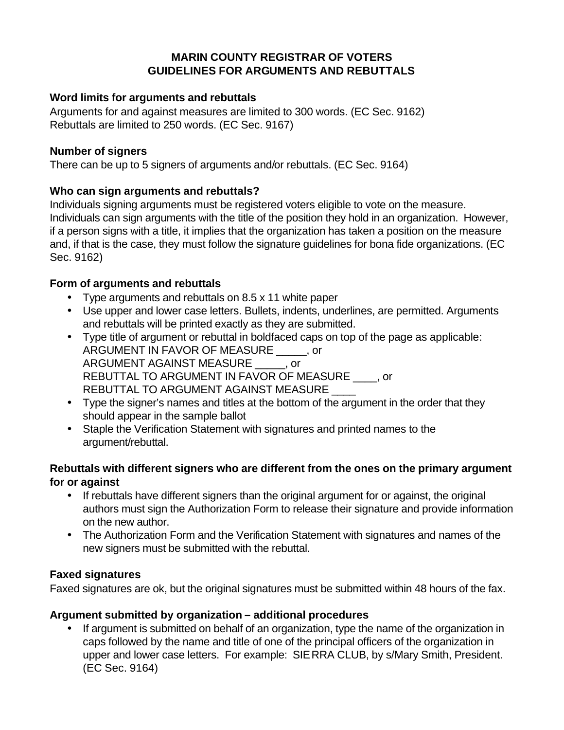#### **MARIN COUNTY REGISTRAR OF VOTERS GUIDELINES FOR ARGUMENTS AND REBUTTALS**

#### **Word limits for arguments and rebuttals**

Arguments for and against measures are limited to 300 words. (EC Sec. 9162) Rebuttals are limited to 250 words. (EC Sec. 9167)

#### **Number of signers**

There can be up to 5 signers of arguments and/or rebuttals. (EC Sec. 9164)

#### **Who can sign arguments and rebuttals?**

Individuals signing arguments must be registered voters eligible to vote on the measure. Individuals can sign arguments with the title of the position they hold in an organization. However, if a person signs with a title, it implies that the organization has taken a position on the measure and, if that is the case, they must follow the signature guidelines for bona fide organizations. (EC Sec. 9162)

#### **Form of arguments and rebuttals**

- Type arguments and rebuttals on 8.5 x 11 white paper
- Use upper and lower case letters. Bullets, indents, underlines, are permitted. Arguments and rebuttals will be printed exactly as they are submitted.
- Type title of argument or rebuttal in boldfaced caps on top of the page as applicable: ARGUMENT IN FAVOR OF MEASURE \_\_\_\_\_, or ARGUMENT AGAINST MEASURE \_\_\_\_\_, or REBUTTAL TO ARGUMENT IN FAVOR OF MEASURE \_\_\_\_, or REBUTTAL TO ARGUMENT AGAINST MEASURE \_\_\_\_
- Type the signer's names and titles at the bottom of the argument in the order that they should appear in the sample ballot
- Staple the Verification Statement with signatures and printed names to the argument/rebuttal.

#### **Rebuttals with different signers who are different from the ones on the primary argument for or against**

- If rebuttals have different signers than the original argument for or against, the original authors must sign the Authorization Form to release their signature and provide information on the new author.
- The Authorization Form and the Verification Statement with signatures and names of the new signers must be submitted with the rebuttal.

#### **Faxed signatures**

Faxed signatures are ok, but the original signatures must be submitted within 48 hours of the fax.

#### **Argument submitted by organization – additional procedures**

If argument is submitted on behalf of an organization, type the name of the organization in caps followed by the name and title of one of the principal officers of the organization in upper and lower case letters. For example: SIERRA CLUB, by s/Mary Smith, President. (EC Sec. 9164)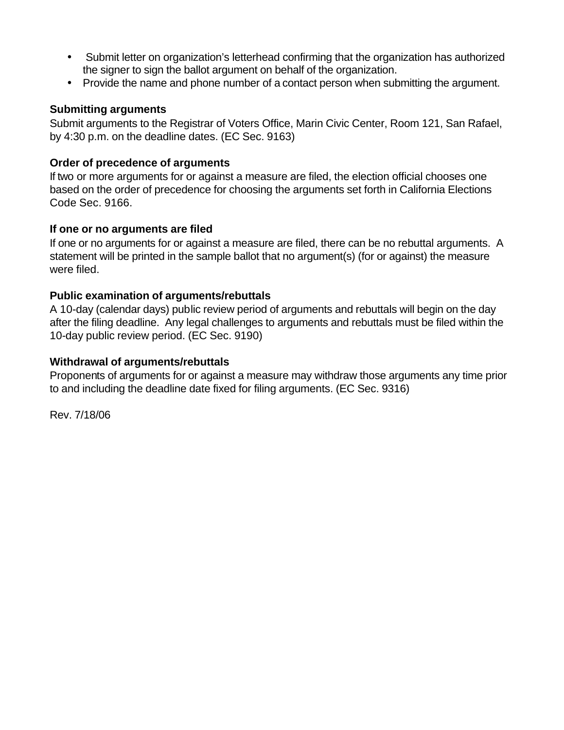- Submit letter on organization's letterhead confirming that the organization has authorized the signer to sign the ballot argument on behalf of the organization.
- Provide the name and phone number of a contact person when submitting the argument.

#### **Submitting arguments**

Submit arguments to the Registrar of Voters Office, Marin Civic Center, Room 121, San Rafael, by 4:30 p.m. on the deadline dates. (EC Sec. 9163)

#### **Order of precedence of arguments**

If two or more arguments for or against a measure are filed, the election official chooses one based on the order of precedence for choosing the arguments set forth in California Elections Code Sec. 9166.

#### **If one or no arguments are filed**

If one or no arguments for or against a measure are filed, there can be no rebuttal arguments. A statement will be printed in the sample ballot that no argument(s) (for or against) the measure were filed.

#### **Public examination of arguments/rebuttals**

A 10-day (calendar days) public review period of arguments and rebuttals will begin on the day after the filing deadline. Any legal challenges to arguments and rebuttals must be filed within the 10-day public review period. (EC Sec. 9190)

#### **Withdrawal of arguments/rebuttals**

Proponents of arguments for or against a measure may withdraw those arguments any time prior to and including the deadline date fixed for filing arguments. (EC Sec. 9316)

Rev. 7/18/06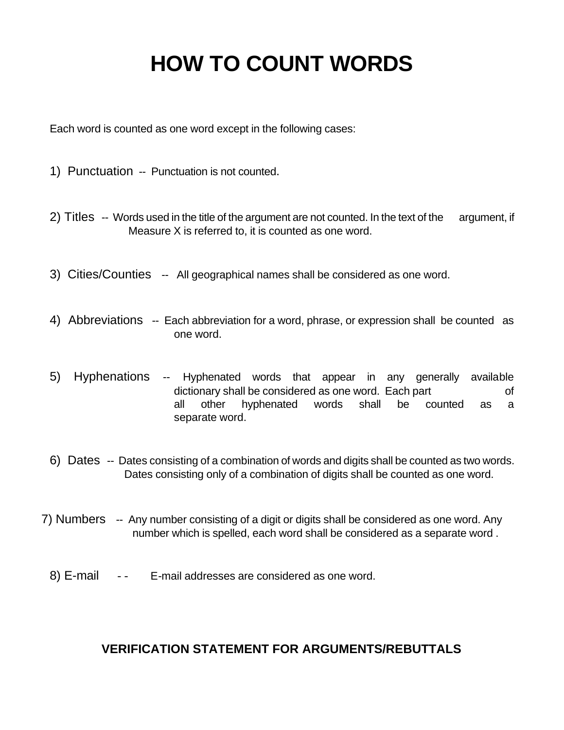## **HOW TO COUNT WORDS**

Each word is counted as one word except in the following cases:

- 1) Punctuation -- Punctuation is not counted.
- 2) Titles-- Words used in the title of the argument are not counted. In the text of the argument, if Measure X is referred to, it is counted as one word.
- 3) Cities/Counties-- All geographical names shall be considered as one word.
- 4) Abbreviations -- Each abbreviation for a word, phrase, or expression shall be counted as one word.
- 5) Hyphenations -- Hyphenated words that appear in any generally available dictionary shall be considered as one word. Each part of all other hyphenated words shall be counted as a separate word.
- 6) Dates-- Dates consisting of a combination of words and digits shall be counted as two words. Dates consisting only of a combination of digits shall be counted as one word.
- 7) Numbers-- Any number consisting of a digit or digits shall be considered as one word. Any number which is spelled, each word shall be considered as a separate word .
	- 8) E-mail -- E-mail addresses are considered as one word.

#### **VERIFICATION STATEMENT FOR ARGUMENTS/REBUTTALS**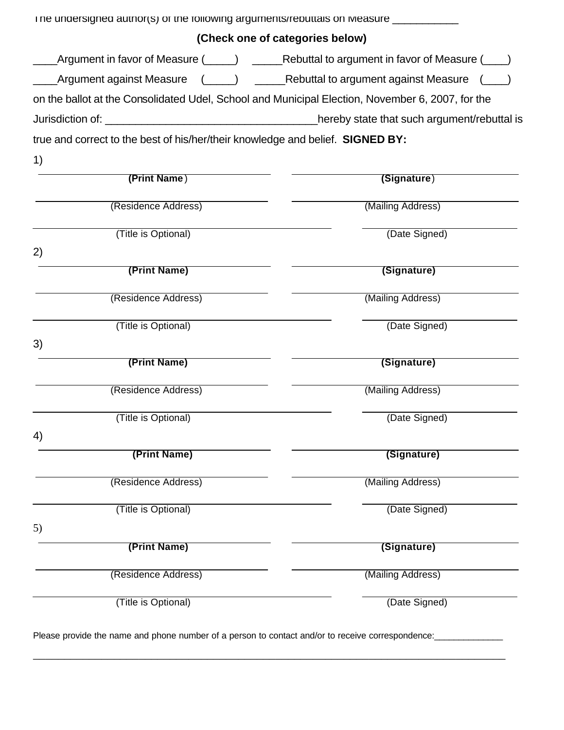| The undersigned author(s) of the following arguments/rebuttals on Measure ____________           |                   |  |
|--------------------------------------------------------------------------------------------------|-------------------|--|
| (Check one of categories below)                                                                  |                   |  |
| _Argument in favor of Measure (_____) ______Rebuttal to argument in favor of Measure (____)      |                   |  |
| __Argument against Measure (_____) ______Rebuttal to argument against Measure (_                 |                   |  |
| on the ballot at the Consolidated Udel, School and Municipal Election, November 6, 2007, for the |                   |  |
|                                                                                                  |                   |  |
| true and correct to the best of his/her/their knowledge and belief. SIGNED BY:                   |                   |  |
| 1)                                                                                               |                   |  |
| (Print Name)                                                                                     | (Signature)       |  |
| (Residence Address)                                                                              | (Mailing Address) |  |
| (Title is Optional)                                                                              | (Date Signed)     |  |
| 2)<br>(Print Name)                                                                               | (Signature)       |  |
| (Residence Address)                                                                              | (Mailing Address) |  |
| (Title is Optional)                                                                              | (Date Signed)     |  |
| 3)                                                                                               |                   |  |
| (Print Name)                                                                                     | (Signature)       |  |
| (Residence Address)                                                                              | (Mailing Address) |  |
| (Title is Optional)                                                                              | (Date Signed)     |  |
| 4)                                                                                               |                   |  |
| (Print Name)                                                                                     | (Signature)       |  |
| (Residence Address)                                                                              | (Mailing Address) |  |
| (Title is Optional)                                                                              | (Date Signed)     |  |
| 5)                                                                                               |                   |  |
| (Print Name)                                                                                     | (Signature)       |  |
| (Residence Address)                                                                              | (Mailing Address) |  |
| (Title is Optional)                                                                              | (Date Signed)     |  |

Please provide the name and phone number of a person to contact and/or to receive correspondence: \_\_\_\_\_\_\_\_\_\_\_\_

\_\_\_\_\_\_\_\_\_\_\_\_\_\_\_\_\_\_\_\_\_\_\_\_\_\_\_\_\_\_\_\_\_\_\_\_\_\_\_\_\_\_\_\_\_\_\_\_\_\_\_\_\_\_\_\_\_\_\_\_\_\_\_\_\_\_\_\_\_\_\_\_\_\_\_\_